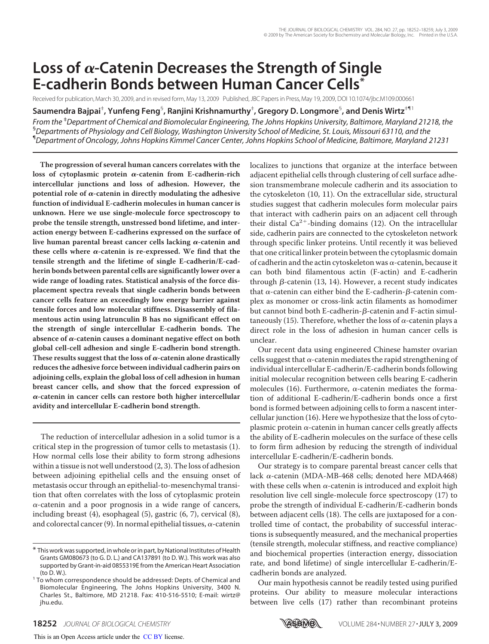# Loss of  $\alpha$ -Catenin Decreases the Strength of Single **E-cadherin Bonds between Human Cancer Cells\***

Received for publication, March 30, 2009, and in revised form, May 13, 2009 Published, JBC Papers in Press, May 19, 2009, DOI 10.1074/jbc.M109.000661

**Saumendra Bajpai**‡ **, Yunfeng Feng**§ **, Ranjini Krishnamurthy**‡ **, Gregory D. Longmore**§ **, and Denis Wirtz**‡¶1

*From the* ‡*Department of Chemical and Biomolecular Engineering, The Johns Hopkins University, Baltimore, Maryland 21218, the* §*Departments of Physiology and Cell Biology, Washington University School of Medicine, St. Louis, Missouri 63110, and the* ¶*Department of Oncology, Johns Hopkins Kimmel Cancer Center, Johns Hopkins School of Medicine, Baltimore, Maryland 21231*

**The progression of several human cancers correlates with the** loss of cytoplasmic protein  $\alpha$ -catenin from E-cadherin-rich **intercellular junctions and loss of adhesion. However, the** potential role of  $\alpha$ -catenin in directly modulating the adhesive **function of individual E-cadherin molecules in human cancer is unknown. Here we use single-molecule force spectroscopy to probe the tensile strength, unstressed bond lifetime, and interaction energy between E-cadherins expressed on the surface of** live human parental breast cancer cells lacking  $\alpha$ -catenin and these cells where  $\alpha$ -catenin is re-expressed. We find that the **tensile strength and the lifetime of single E-cadherin/E-cadherin bonds between parental cells are significantly lower over a wide range of loading rates. Statistical analysis of the force displacement spectra reveals that single cadherin bonds between cancer cells feature an exceedingly low energy barrier against tensile forces and low molecular stiffness. Disassembly of filamentous actin using latrunculin B has no significant effect on the strength of single intercellular E-cadherin bonds. The** absence of  $\alpha$ -catenin causes a dominant negative effect on both **global cell-cell adhesion and single E-cadherin bond strength.** These results suggest that the loss of  $\alpha$ -catenin alone drastically **reduces the adhesive force between individual cadherin pairs on adjoining cells, explain the global loss of cell adhesion in human breast cancer cells, and show that the forced expression of -catenin in cancer cells can restore both higher intercellular avidity and intercellular E-cadherin bond strength.**

The reduction of intercellular adhesion in a solid tumor is a critical step in the progression of tumor cells to metastasis (1). How normal cells lose their ability to form strong adhesions within a tissue is not well understood (2, 3). The loss of adhesion between adjoining epithelial cells and the ensuing onset of metastasis occur through an epithelial-to-mesenchymal transition that often correlates with the loss of cytoplasmic protein  $\alpha$ -catenin and a poor prognosis in a wide range of cancers, including breast (4), esophageal (5), gastric (6, 7), cervical (8), and colorectal cancer (9). In normal epithelial tissues,  $\alpha$ -catenin

localizes to junctions that organize at the interface between adjacent epithelial cells through clustering of cell surface adhesion transmembrane molecule cadherin and its association to the cytoskeleton (10, 11). On the extracellular side, structural studies suggest that cadherin molecules form molecular pairs that interact with cadherin pairs on an adjacent cell through their distal Ca<sup>2+</sup>-binding domains (12). On the intracellular side, cadherin pairs are connected to the cytoskeleton network through specific linker proteins. Until recently it was believed that one critical linker protein between the cytoplasmic domain of cadherin and the actin cytoskeleton was  $\alpha$ -catenin, because it can both bind filamentous actin (F-actin) and E-cadherin through  $\beta$ -catenin (13, 14). However, a recent study indicates that  $\alpha$ -catenin can either bind the E-cadherin- $\beta$ -catenin complex as monomer or cross-link actin filaments as homodimer but cannot bind both E-cadherin- $\beta$ -catenin and F-actin simultaneously (15). Therefore, whether the loss of  $\alpha$ -catenin plays a direct role in the loss of adhesion in human cancer cells is unclear.

Our recent data using engineered Chinese hamster ovarian cells suggest that  $\alpha$ -catenin mediates the rapid strengthening of individual intercellular E-cadherin/E-cadherin bonds following initial molecular recognition between cells bearing E-cadherin molecules (16). Furthermore,  $\alpha$ -catenin mediates the formation of additional E-cadherin/E-cadherin bonds once a first bond is formed between adjoining cells to form a nascent intercellular junction (16). Here we hypothesize that the loss of cytoplasmic protein  $\alpha$ -catenin in human cancer cells greatly affects the ability of E-cadherin molecules on the surface of these cells to form firm adhesion by reducing the strength of individual intercellular E-cadherin/E-cadherin bonds.

Our strategy is to compare parental breast cancer cells that lack  $\alpha$ -catenin (MDA-MB-468 cells; denoted here MDA468) with these cells when  $\alpha$ -catenin is introduced and exploit high resolution live cell single-molecule force spectroscopy (17) to probe the strength of individual E-cadherin/E-cadherin bonds between adjacent cells (18). The cells are juxtaposed for a controlled time of contact, the probability of successful interactions is subsequently measured, and the mechanical properties (tensile strength, molecular stiffness, and reactive compliance) and biochemical properties (interaction energy, dissociation rate, and bond lifetime) of single intercellular E-cadherin/Ecadherin bonds are analyzed.

Our main hypothesis cannot be readily tested using purified proteins. Our ability to measure molecular interactions between live cells (17) rather than recombinant proteins



<sup>\*</sup> This work was supported, in whole or in part, by National Institutes of Health Grants GM080673 (to G. D. L.) and CA137891 (to D. W.). This work was also supported by Grant-in-aid 0855319E from the American Heart Association (to D. W.).

<sup>&</sup>lt;sup>1</sup> To whom correspondence should be addressed: Depts. of Chemical and Biomolecular Engineering, The Johns Hopkins University, 3400 N. Charles St., Baltimore, MD 21218. Fax: 410-516-5510; E-mail: wirtz@ jhu.edu.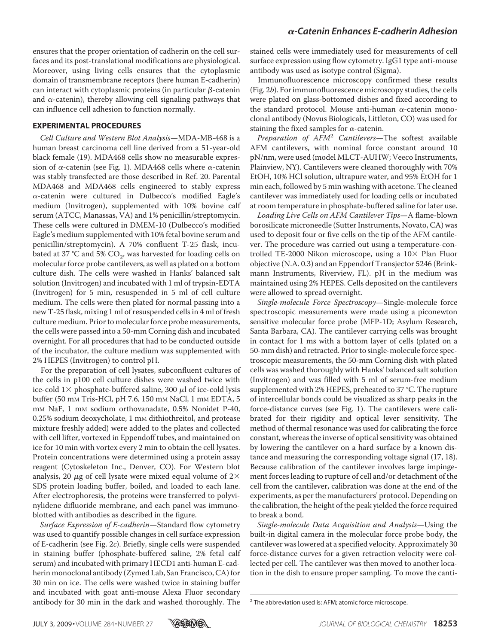ensures that the proper orientation of cadherin on the cell surfaces and its post-translational modifications are physiological. Moreover, using living cells ensures that the cytoplasmic domain of transmembrane receptors (here human E-cadherin) can interact with cytoplasmic proteins (in particular  $\beta$ -catenin and  $\alpha$ -catenin), thereby allowing cell signaling pathways that can influence cell adhesion to function normally.

#### **EXPERIMENTAL PROCEDURES**

Cell Culture and Western Blot Analysis—MDA-MB-468 is a human breast carcinoma cell line derived from a 51-year-old black female (19). MDA468 cells show no measurable expression of  $\alpha$ -catenin (see Fig. 1). MDA468 cells where  $\alpha$ -catenin was stably transfected are those described in Ref. 20. Parental MDA468 and MDA468 cells engineered to stably express  $\alpha$ -catenin were cultured in Dulbecco's modified Eagle's medium (Invitrogen), supplemented with 10% bovine calf serum (ATCC, Manassas, VA) and 1% penicillin/streptomycin. These cells were cultured in DMEM-10 (Dulbecco's modified Eagle's medium supplemented with 10% fetal bovine serum and penicillin/streptomycin). A 70% confluent T-25 flask, incubated at 37 °C and 5% CO<sub>2</sub>, was harvested for loading cells on molecular force probe cantilevers, as well as plated on a bottom culture dish. The cells were washed in Hanks' balanced salt solution (Invitrogen) and incubated with 1 ml of trypsin-EDTA (Invitrogen) for 5 min, resuspended in 5 ml of cell culture medium. The cells were then plated for normal passing into a new T-25 flask, mixing 1 ml of resuspended cells in 4 ml of fresh culture medium. Prior to molecular force probe measurements, the cells were passed into a 50-mm Corning dish and incubated overnight. For all procedures that had to be conducted outside of the incubator, the culture medium was supplemented with 2% HEPES (Invitrogen) to control pH.

For the preparation of cell lysates, subconfluent cultures of the cells in p100 cell culture dishes were washed twice with ice-cold  $1\times$  phosphate-buffered saline, 300  $\mu$ l of ice-cold lysis buffer (50 mm Tris-HCl, pH 7.6, 150 mm NaCl, 1 mm EDTA, 5 mM NaF, 1 mM sodium orthovanadate, 0.5% Nonidet P-40, 0.25% sodium deoxycholate, 1 mm dithiothreitol, and protease mixture freshly added) were added to the plates and collected with cell lifter, vortexed in Eppendoff tubes, and maintained on ice for 10 min with vortex every 2 min to obtain the cell lysates. Protein concentrations were determined using a protein assay reagent (Cytoskeleton Inc., Denver, CO). For Western blot analysis, 20  $\mu$ g of cell lysate were mixed equal volume of 2 $\times$ SDS protein loading buffer, boiled, and loaded to each lane. After electrophoresis, the proteins were transferred to polyvinylidene difluoride membrane, and each panel was immunoblotted with antibodies as described in the figure.

Surface Expression of E-cadherin—Standard flow cytometry was used to quantify possible changes in cell surface expression of E-cadherin (see Fig. 2c). Briefly, single cells were suspended in staining buffer (phosphate-buffered saline, 2% fetal calf serum) and incubated with primary HECD1 anti-human E-cadherin monoclonal antibody (Zymed Lab, San Francisco, CA) for 30 min on ice. The cells were washed twice in staining buffer and incubated with goat anti-mouse Alexa Fluor secondary antibody for 30 min in the dark and washed thoroughly. The stained cells were immediately used for measurements of cell surface expression using flow cytometry. IgG1 type anti-mouse antibody was used as isotype control (Sigma).

Immunofluorescence microscopy confirmed these results (Fig. 2b). For immunofluorescence microscopy studies, the cells were plated on glass-bottomed dishes and fixed according to the standard protocol. Mouse anti-human  $\alpha$ -catenin monoclonal antibody (Novus Biologicals, Littleton, CO) was used for staining the fixed samples for  $\alpha$ -catenin.

Preparation of AFM<sup>2</sup> Cantilevers-The softest available AFM cantilevers, with nominal force constant around 10 pN/nm, were used (model MLCT-AUHW; Veeco Instruments, Plainview, NY). Cantilevers were cleaned thoroughly with 70% EtOH, 10% HCl solution, ultrapure water, and 95% EtOH for 1 min each, followed by 5 min washing with acetone. The cleaned cantilever was immediately used for loading cells or incubated at room temperature in phosphate-buffered saline for later use.

Loading Live Cells on AFM Cantilever Tips—A flame-blown borosilicate microneedle (Sutter Instruments, Novato, CA) was used to deposit four or five cells on the tip of the AFM cantilever. The procedure was carried out using a temperature-controlled TE-2000 Nikon microscope, using a  $10\times$  Plan Fluor objective (N.A. 0.3) and an Eppendorf Transjector 5246 (Brinkmann Instruments, Riverview, FL). pH in the medium was maintained using 2% HEPES. Cells deposited on the cantilevers were allowed to spread overnight.

Single-molecule Force Spectroscopy—Single-molecule force spectroscopic measurements were made using a piconewton sensitive molecular force probe (MFP-1D; Asylum Research, Santa Barbara, CA). The cantilever carrying cells was brought in contact for 1 ms with a bottom layer of cells (plated on a 50-mm dish) and retracted. Prior to single-molecule force spectroscopic measurements, the 50-mm Corning dish with plated cells was washed thoroughly with Hanks' balanced salt solution (Invitrogen) and was filled with 5 ml of serum-free medium supplemented with 2% HEPES, preheated to 37 °C. The rupture of intercellular bonds could be visualized as sharp peaks in the force-distance curves (see Fig. 1). The cantilevers were calibrated for their rigidity and optical lever sensitivity. The method of thermal resonance was used for calibrating the force constant, whereas the inverse of optical sensitivity was obtained by lowering the cantilever on a hard surface by a known distance and measuring the corresponding voltage signal (17, 18). Because calibration of the cantilever involves large impingement forces leading to rupture of cell and/or detachment of the cell from the cantilever, calibration was done at the end of the experiments, as per the manufacturers' protocol. Depending on the calibration, the height of the peak yielded the force required to break a bond.

Single-molecule Data Acquisition and Analysis—Using the built-in digital camera in the molecular force probe body, the cantilever was lowered at a specified velocity. Approximately 30 force-distance curves for a given retraction velocity were collected per cell. The cantilever was then moved to another location in the dish to ensure proper sampling. To move the canti-



<sup>&</sup>lt;sup>2</sup> The abbreviation used is: AFM; atomic force microscope.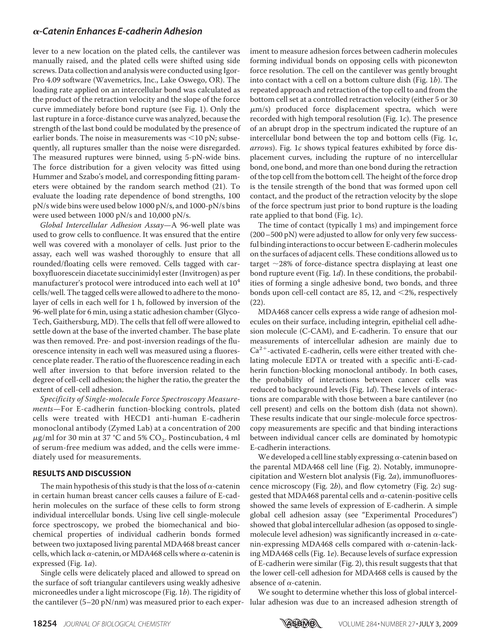lever to a new location on the plated cells, the cantilever was manually raised, and the plated cells were shifted using side screws. Data collection and analysis were conducted using Igor-Pro 4.09 software (Wavemetrics, Inc., Lake Oswego, OR). The loading rate applied on an intercellular bond was calculated as the product of the retraction velocity and the slope of the force curve immediately before bond rupture (see Fig. 1). Only the last rupture in a force-distance curve was analyzed, because the strength of the last bond could be modulated by the presence of earlier bonds. The noise in measurements was  $\leq$ 10 pN; subsequently, all ruptures smaller than the noise were disregarded. The measured ruptures were binned, using 5-pN-wide bins. The force distribution for a given velocity was fitted using Hummer and Szabo's model, and corresponding fitting parameters were obtained by the random search method (21). To evaluate the loading rate dependence of bond strengths, 100 pN/s wide bins were used below 1000 pN/s, and 1000-pN/s bins were used between 1000 pN/s and 10,000 pN/s.

Global Intercellular Adhesion Assay—A 96-well plate was used to grow cells to confluence. It was ensured that the entire well was covered with a monolayer of cells. Just prior to the assay, each well was washed thoroughly to ensure that all rounded/floating cells were removed. Cells tagged with carboxyfluorescein diacetate succinimidyl ester (Invitrogen) as per manufacturer's protocol were introduced into each well at  $10<sup>4</sup>$ cells/well. The tagged cells were allowed to adhere to the monolayer of cells in each well for 1 h, followed by inversion of the 96-well plate for 6 min, using a static adhesion chamber (Glyco-Tech, Gaithersburg, MD). The cells that fell off were allowed to settle down at the base of the inverted chamber. The base plate was then removed. Pre- and post-inversion readings of the fluorescence intensity in each well was measured using a fluorescence plate reader. The ratio of the fluorescence reading in each well after inversion to that before inversion related to the degree of cell-cell adhesion; the higher the ratio, the greater the extent of cell-cell adhesion.

Specificity of Single-molecule Force Spectroscopy Measurements—For E-cadherin function-blocking controls, plated cells were treated with HECD1 anti-human E-cadherin monoclonal antibody (Zymed Lab) at a concentration of 200  $\mu$ g/ml for 30 min at 37 °C and 5% CO $_2$ . Postincubation, 4 ml of serum-free medium was added, and the cells were immediately used for measurements.

#### **RESULTS AND DISCUSSION**

The main hypothesis of this study is that the loss of  $\alpha$ -catenin in certain human breast cancer cells causes a failure of E-cadherin molecules on the surface of these cells to form strong individual intercellular bonds. Using live cell single-molecule force spectroscopy, we probed the biomechanical and biochemical properties of individual cadherin bonds formed between two juxtaposed living parental MDA468 breast cancer cells, which lack  $\alpha$ -catenin, or MDA468 cells where  $\alpha$ -catenin is expressed (Fig. 1a).

Single cells were delicately placed and allowed to spread on the surface of soft triangular cantilevers using weakly adhesive microneedles under a light microscope (Fig.  $1b$ ). The rigidity of the cantilever (5–20 pN/nm) was measured prior to each exper-

iment to measure adhesion forces between cadherin molecules forming individual bonds on opposing cells with piconewton force resolution. The cell on the cantilever was gently brought into contact with a cell on a bottom culture dish (Fig. 1b). The repeated approach and retraction of the top cell to and from the bottom cell set at a controlled retraction velocity (either 5 or 30  $\mu$ m/s) produced force displacement spectra, which were recorded with high temporal resolution (Fig. 1c). The presence of an abrupt drop in the spectrum indicated the rupture of an intercellular bond between the top and bottom cells (Fig. 1c, arrows). Fig. 1c shows typical features exhibited by force displacement curves, including the rupture of no intercellular bond, one bond, and more than one bond during the retraction of the top cell from the bottom cell. The height of the force drop is the tensile strength of the bond that was formed upon cell contact, and the product of the retraction velocity by the slope of the force spectrum just prior to bond rupture is the loading rate applied to that bond (Fig. 1c).

The time of contact (typically 1 ms) and impingement force (200–500 pN) were adjusted to allow for only very few successful binding interactions to occur between E-cadherin molecules on the surfaces of adjacent cells. These conditions allowed us to target  $\sim$ 28% of force-distance spectra displaying at least one bond rupture event (Fig. 1d). In these conditions, the probabilities of forming a single adhesive bond, two bonds, and three bonds upon cell-cell contact are 85, 12, and  $\leq$ 2%, respectively (22).

MDA468 cancer cells express a wide range of adhesion molecules on their surface, including integrin, epithelial cell adhesion molecule (C-CAM), and E-cadherin. To ensure that our measurements of intercellular adhesion are mainly due to Ca<sup>2+</sup>-activated E-cadherin, cells were either treated with chelating molecule EDTA or treated with a specific anti-E-cadherin function-blocking monoclonal antibody. In both cases, the probability of interactions between cancer cells was reduced to background levels (Fig. 1d). These levels of interactions are comparable with those between a bare cantilever (no cell present) and cells on the bottom dish (data not shown). These results indicate that our single-molecule force spectroscopy measurements are specific and that binding interactions between individual cancer cells are dominated by homotypic E-cadherin interactions.

We developed a cell line stably expressing  $\alpha$ -catenin based on the parental MDA468 cell line (Fig. 2). Notably, immunoprecipitation and Western blot analysis (Fig.  $2a$ ), immunofluorescence microscopy (Fig. 2b), and flow cytometry (Fig. 2c) suggested that MDA468 parental cells and  $\alpha$ -catenin-positive cells showed the same levels of expression of E-cadherin. A simple global cell adhesion assay (see "Experimental Procedures") showed that global intercellular adhesion (as opposed to singlemolecule level adhesion) was significantly increased in  $\alpha$ -catenin-expressing MDA468 cells compared with  $\alpha$ -catenin-lacking MDA468 cells (Fig. 1e). Because levels of surface expression of E-cadherin were similar (Fig. 2), this result suggests that that the lower cell-cell adhesion for MDA468 cells is caused by the absence of  $\alpha$ -catenin.

We sought to determine whether this loss of global intercellular adhesion was due to an increased adhesion strength of

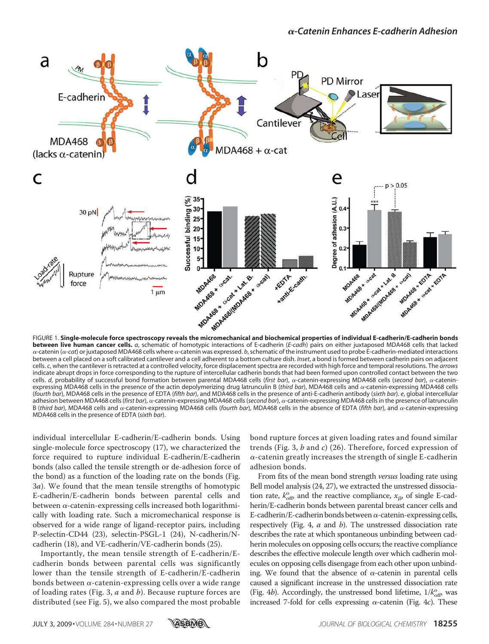

**between live human cancer cells.** *a*, schematic of homotypic interactions of E-cadherin (*E-cadh*) pairs on either juxtaposed MDA468 cells that lacked  $\alpha$ -catenin ( $\alpha$ -cat) or juxtaposed MDA468 cells where  $\alpha$ -catenin was expressed. b, schematic of the instrument used to probe E-cadherin-mediated interactions between a cell placed on a soft calibrated cantilever and a cell adherent to a bottom culture dish. *Inset*, a bond is formed between cadherin pairs on adjacent cells. *c*, when the cantilever is retracted at a controlled velocity, force displacement spectra are recorded with high force and temporal resolutions. The *arrows* indicate abrupt drops in force corresponding to the rupture of intercellular cadherin bonds that had been formed upon controlled contact between the two cells. d, probability of successful bond formation between parental MDA468 cells (first bar), a-catenin-expressing MDA468 cells (second bar), a-cateninexpressing MDA468 cells in the presence of the actin depolymerizing drug latrunculin B (*third bar*), MDA468 cells and  $\alpha$ -catenin-expressing MDA468 cells (*fourth bar*), MDA468 cells in the presence of EDTA (*fifth bar*), and MDA468 cells in the presence of anti-E-cadherin antibody (*sixth bar*). *e*, global intercellular adhesion between MDA468 cells (*first bar*), a-catenin-expressing MDA468 cells (*second bar*), a-catenin-expressing MDA468 cells in the presence of latrunculin B (*third bar*), MDA468 cells and  $\alpha$ -catenin-expressing MDA468 cells (*fourth bar*), MDA468 cells in the absence of EDTA (*fifth bar*), and  $\alpha$ -catenin-expressing MDA468 cells in the presence of EDTA (*sixth bar*).

individual intercellular E-cadherin/E-cadherin bonds. Using single-molecule force spectroscopy (17), we characterized the force required to rupture individual E-cadherin/E-cadherin bonds (also called the tensile strength or de-adhesion force of the bond) as a function of the loading rate on the bonds (Fig. 3a). We found that the mean tensile strengths of homotypic E-cadherin/E-cadherin bonds between parental cells and between  $\alpha$ -catenin-expressing cells increased both logarithmically with loading rate. Such a micromechanical response is observed for a wide range of ligand-receptor pairs, including P-selectin-CD44 (23), selectin-PSGL-1 (24), N-cadherin/Ncadherin (18), and VE-cadherin/VE-cadherin bonds (25).

Importantly, the mean tensile strength of E-cadherin/Ecadherin bonds between parental cells was significantly lower than the tensile strength of E-cadherin/E-cadherin bonds between  $\alpha$ -catenin-expressing cells over a wide range of loading rates (Fig. 3,  $a$  and  $b$ ). Because rupture forces are distributed (see Fig. 5), we also compared the most probable bond rupture forces at given loading rates and found similar trends (Fig. 3,  $b$  and  $c$ ) (26). Therefore, forced expression of  $\alpha$ -catenin greatly increases the strength of single E-cadherin adhesion bonds.

From fits of the mean bond strength *versus* loading rate using Bell model analysis (24, 27), we extracted the unstressed dissociation rate,  $k_{off}^{\circ}$  and the reactive compliance,  $x_{\beta}$ , of single E-cadherin/E-cadherin bonds between parental breast cancer cells and E-cadherin/E-cadherin bonds between  $\alpha$ -catenin-expressing cells, respectively (Fig. 4, a and b). The unstressed dissociation rate describes the rate at which spontaneous unbinding between cadherin molecules on opposing cells occurs; the reactive compliance describes the effective molecule length over which cadherin molecules on opposing cells disengage from each other upon unbinding. We found that the absence of  $\alpha$ -catenin in parental cells caused a significant increase in the unstressed dissociation rate (Fig. 4b). Accordingly, the unstressed bond lifetime,  $1/k_{\text{off}}^{\text{o}}$  was increased 7-fold for cells expressing  $\alpha$ -catenin (Fig. 4c). These

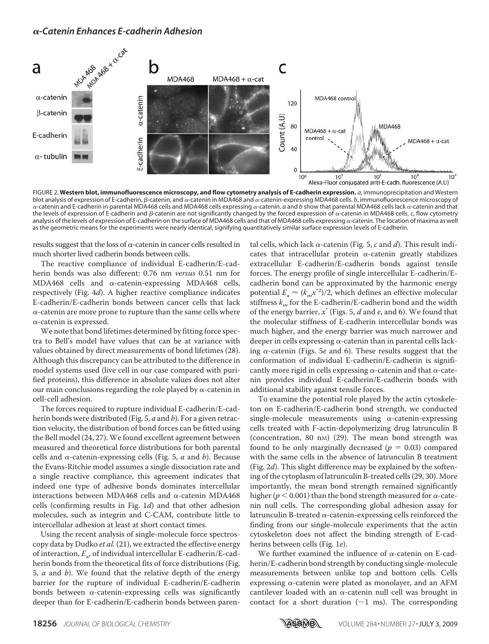

FIGURE 2. **Western blot, immunofluorescence microscopy, and flow cytometry analysis of E-cadherin expression.** *a*, immunoprecipitation and Western blot analysis of expression of E-cadherin, β-catenin, and α-catenin in MDA468 and α-catenin-expressing MDA468 cells. *b*, immunofluorescence microscopy of  $\alpha$ -catenin and E-cadherin in parental MDA468 cells and MDA468 cells expressing  $\alpha$ -catenin. *a* and *b* show that parental MDA468 cells lack  $\alpha$ -catenin and that the levels of expression of E-cadherin and  $\beta$ -catenin are not significantly changed by the forced expression of  $\alpha$ -catenin in MDA468 cells.  $c$ , flow cytometry analysis of the levels of expression of E-cadherin on the surface of MDA468 cells and that of MDA468 cells expressing  $\alpha$ -catenin. The location of maxima as well as the geometric means for the experiments were nearly identical, signifying quantitatively similar surface expression levels of E-cadherin.

results suggest that the loss of  $\alpha$ -catenin in cancer cells resulted in much shorter lived cadherin bonds between cells.

The reactive compliance of individual E-cadherin/E-cadherin bonds was also different: 0.76 nm versus 0.51 nm for MDA468 cells and  $\alpha$ -catenin-expressing MDA468 cells, respectively (Fig. 4d). A higher reactive compliance indicates E-cadherin/E-cadherin bonds between cancer cells that lack  $\alpha$ -catenin are more prone to rupture than the same cells where  $\alpha$ -catenin is expressed.

We note that bond lifetimes determined by fitting force spectra to Bell's model have values that can be at variance with values obtained by direct measurements of bond lifetimes (28). Although this discrepancy can be attributed to the difference in model systems used (live cell in our case compared with purified proteins), this difference in absolute values does not alter our main conclusions regarding the role played by  $\alpha$ -catenin in cell-cell adhesion.

The forces required to rupture individual E-cadherin/E-cadherin bonds were distributed (Fig. 5,  $a$  and  $b$ ). For a given retraction velocity, the distribution of bond forces can be fitted using the Bell model (24, 27). We found excellent agreement between measured and theoretical force distributions for both parental cells and  $\alpha$ -catenin-expressing cells (Fig. 5,  $\alpha$  and  $\beta$ ). Because the Evans-Ritchie model assumes a single dissociation rate and a single reactive compliance, this agreement indicates that indeed one type of adhesive bonds dominates intercellular interactions between MDA468 cells and  $\alpha$ -catenin MDA468 cells (confirming results in Fig. 1d) and that other adhesion molecules, such as integrin and C-CAM, contribute little to intercellular adhesion at least at short contact times.

Using the recent analysis of single-molecule force spectroscopy data by Dudko et al. (21), we extracted the effective energy of interaction,  $E_{\rm a}$ , of individual intercellular E-cadherin/E-cadherin bonds from the theoretical fits of force distributions (Fig. 5,  $a$  and  $b$ ). We found that the relative depth of the energy barrier for the rupture of individual E-cadherin/E-cadherin bonds between  $\alpha$ -catenin-expressing cells was significantly deeper than for E-cadherin/E-cadherin bonds between parental cells, which lack  $\alpha$ -catenin (Fig. 5, c and d). This result indicates that intracellular protein  $\alpha$ -catenin greatly stabilizes extracellular E-cadherin/E-cadherin bonds against tensile forces. The energy profile of single intercellular E-cadherin/Ecadherin bond can be approximated by the harmonic energy potential  $E_a \approx (k_m x^{*2})/2$ , which defines an effective molecular stiffness  $k_m$  for the E-cadherin/E-cadherin bond and the width of the energy barrier,  $x^*$  (Figs. 5,  $d$  and  $e$ , and 6). We found that the molecular stiffness of E-cadherin intercellular bonds was much higher, and the energy barrier was much narrower and deeper in cells expressing  $\alpha$ -catenin than in parental cells lacking  $\alpha$ -catenin (Figs. 5e and 6). These results suggest that the conformation of individual E-cadherin/E-cadherin is significantly more rigid in cells expressing  $\alpha$ -catenin and that  $\alpha$ -catenin provides individual E-cadherin/E-cadherin bonds with additional stability against tensile forces.

To examine the potential role played by the actin cytoskeleton on E-cadherin/E-cadherin bond strength, we conducted single-molecule measurements using  $\alpha$ -catenin-expressing cells treated with F-actin-depolymerizing drug latrunculin B (concentration, 80 nm)  $(29)$ . The mean bond strength was found to be only marginally decreased ( $p = 0.03$ ) compared with the same cells in the absence of latrunculin B treatment (Fig.  $2d$ ). This slight difference may be explained by the softening of the cytoplasm of latrunculin B-treated cells (29, 30). More importantly, the mean bond strength remained significantly higher ( $p < 0.001$ ) than the bond strength measured for  $\alpha$ -catenin null cells. The corresponding global adhesion assay for latrunculin B-treated  $\alpha$ -catenin-expressing cells reinforced the finding from our single-molecule experiments that the actin cytoskeleton does not affect the binding strength of E-cadherins between cells (Fig. 1e).

We further examined the influence of  $\alpha$ -catenin on E-cadherin/E-cadherin bond strength by conducting single-molecule measurements between unlike top and bottom cells. Cells expressing  $\alpha$ -catenin were plated as monolayer, and an AFM cantilever loaded with an  $\alpha$ -catenin null cell was brought in contact for a short duration ( $\sim$ 1 ms). The corresponding

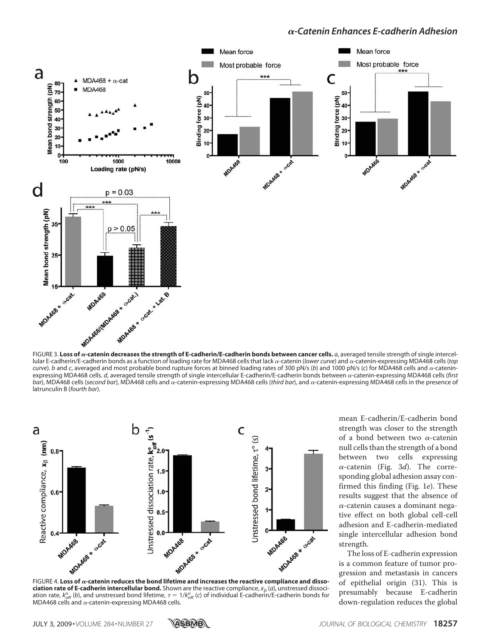

lular E-cadherin/E-cadherin bonds as a function of loading rate for MDA468 cells that lack α-catenin (*lower curve*) and α-catenin-expressing MDA468 cells (*top curve*). *b* and *c*, averaged and most probable bond rupture forces at binned loading rates of 300 pN/s (*b*) and 1000 pN/s (*c*) for MDA468 cells and  $\alpha$ -cateninexpressing MDA468 cells. *d*, averaged tensile strength of single intercellular E-cadherin/E-cadherin bonds between α-catenin-expressing MDA468 cells (first bar), MDA468 cells (*second bar*), MDA468 cells and  $\alpha$ -catenin-expressing MDA468 cells (*third bar*), and  $\alpha$ -catenin-expressing MDA468 cells in the presence of latrunculin B (*fourth bar*).



**ciation rate of E-cadherin intercellular bond.** Shown are the reactive compliance, *x<sub>B</sub>* (*a*), unstressed dissociation rate,  $k_{\rm off}^{\rm o}$  (b), and unstressed bond lifetime,  $\tau=1/k_{\rm off}^{\rm o}$  (c) of individual E-cadherin/E-cadherin bonds for MDA468 cells and  $\alpha$ -catenin-expressing MDA468 cells.

mean E-cadherin/E-cadherin bond strength was closer to the strength of a bond between two  $\alpha$ -catenin null cells than the strength of a bond between two cells expressing  $\alpha$ -catenin (Fig. 3*d*). The corresponding global adhesion assay confirmed this finding (Fig. 1e). These results suggest that the absence of  $\alpha$ -catenin causes a dominant negative effect on both global cell-cell adhesion and E-cadherin-mediated single intercellular adhesion bond strength.

The loss of E-cadherin expression is a common feature of tumor progression and metastasis in cancers of epithelial origin (31). This is presumably because E-cadherin down-regulation reduces the global

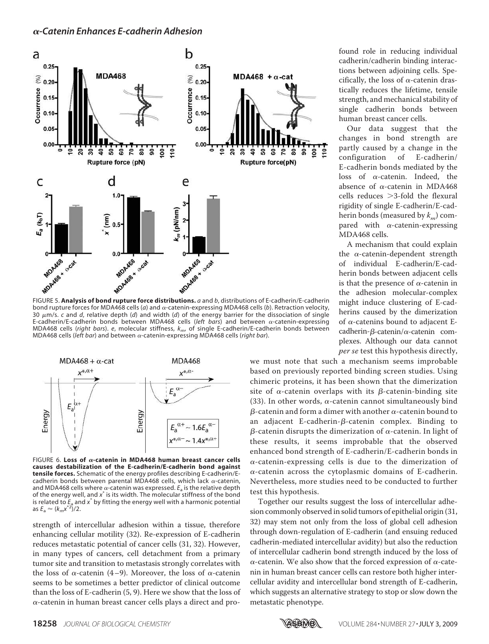

bond rupture forces for MDA468 cells (*a*) and α-catenin-expressing MDA468 cells (*b*). Retraction velocity, 30 m/s. *c* and *d*, relative depth (*d*) and width (*d*) of the energy barrier for the dissociation of single E-cadherin/E-cadherin bonds between MDA468 cells (*left bars*) and between  $\alpha$ -catenin-expressing MDA468 cells (*right bars*). *e*, molecular stiffness, *km*, of single E-cadherin/E-cadherin bonds between MDA468 cells (*left bar*) and between  $\alpha$ -catenin-expressing MDA468 cells (*right bar*).



FIGURE 6. **Loss of**  $\alpha$ **-catenin in MDA468 human breast cancer cells causes destabilization of the E-cadherin/E-cadherin bond against tensile forces.** Schematic of the energy profiles describing E-cadherin/Ecadherin bonds between parental MDA468 cells, which lack  $\alpha$ -catenin, and MDA468 cells where  $\alpha$ -catenin was expressed.  $E_{\rm a}$  is the relative depth of the energy well, and x<sup>\*</sup> is its width. The molecular stiffness of the bond is related to  $\tilde{f}_{2a}$  and  $x^*$  by fitting the energy well with a harmonic potential  $a$ s  $E_a \approx (k_m x^{*2})/2$ .

strength of intercellular adhesion within a tissue, therefore enhancing cellular motility (32). Re-expression of E-cadherin reduces metastatic potential of cancer cells (31, 32). However, in many types of cancers, cell detachment from a primary tumor site and transition to metastasis strongly correlates with the loss of  $\alpha$ -catenin (4–9). Moreover, the loss of  $\alpha$ -catenin seems to be sometimes a better predictor of clinical outcome than the loss of E-cadherin (5, 9). Here we show that the loss of  $\alpha$ -catenin in human breast cancer cells plays a direct and profound role in reducing individual cadherin/cadherin binding interactions between adjoining cells. Specifically, the loss of  $\alpha$ -catenin drastically reduces the lifetime, tensile strength, and mechanical stability of single cadherin bonds between human breast cancer cells.

Our data suggest that the changes in bond strength are partly caused by a change in the configuration of E-cadherin/ E-cadherin bonds mediated by the loss of  $\alpha$ -catenin. Indeed, the absence of  $\alpha$ -catenin in MDA468  $cells$  reduces  $\geq 3$ -fold the flexural rigidity of single E-cadherin/E-cadherin bonds (measured by  $k_m$ ) compared with  $\alpha$ -catenin-expressing MDA468 cells.

A mechanism that could explain the  $\alpha$ -catenin-dependent strength of individual E-cadherin/E-cadherin bonds between adjacent cells is that the presence of  $\alpha$ -catenin in the adhesion molecular-complex might induce clustering of E-cadherins caused by the dimerization of  $\alpha$ -catenins bound to adjacent Ecadherin- $\beta$ -catenin/ $\alpha$ -catenin complexes. Although our data cannot per se test this hypothesis directly,

we must note that such a mechanism seems improbable based on previously reported binding screen studies. Using chimeric proteins, it has been shown that the dimerization site of  $\alpha$ -catenin overlaps with its  $\beta$ -catenin-binding site (33). In other words,  $\alpha$ -catenin cannot simultaneously bind β-catenin and form a dimer with another  $\alpha$ -catenin bound to an adjacent E-cadherin-β-catenin complex. Binding to β-catenin disrupts the dimerization of α-catenin. In light of these results, it seems improbable that the observed enhanced bond strength of E-cadherin/E-cadherin bonds in  $\alpha$ -catenin-expressing cells is due to the dimerization of  $\alpha$ -catenin across the cytoplasmic domains of E-cadherin. Nevertheless, more studies need to be conducted to further test this hypothesis.

Together our results suggest the loss of intercellular adhesion commonly observed in solid tumors of epithelial origin (31, 32) may stem not only from the loss of global cell adhesion through down-regulation of E-cadherin (and ensuing reduced cadherin-mediated intercellular avidity) but also the reduction of intercellular cadherin bond strength induced by the loss of  $\alpha$ -catenin. We also show that the forced expression of  $\alpha$ -catenin in human breast cancer cells can restore both higher intercellular avidity and intercellular bond strength of E-cadherin, which suggests an alternative strategy to stop or slow down the metastatic phenotype.